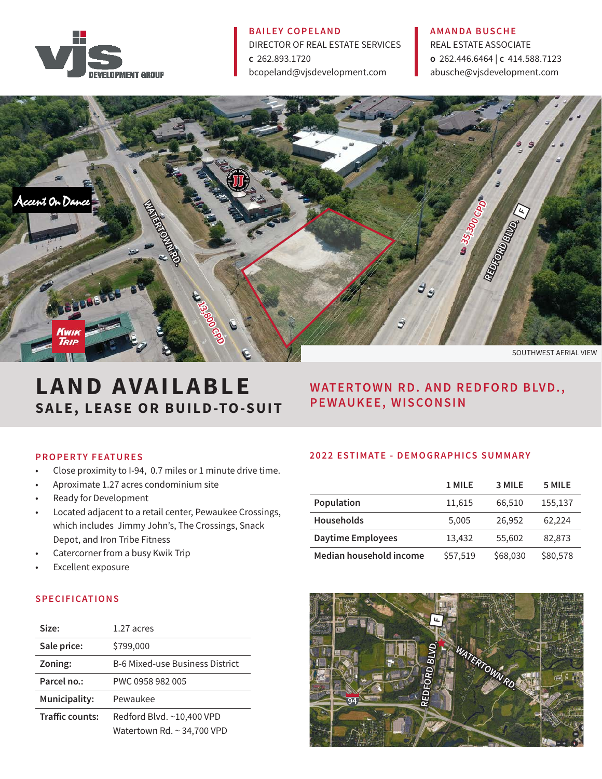

#### BAILEY COPELAND

DIRECTOR OF REAL ESTATE SERVICES c 262.893.1720 bcopeland@vjsdevelopment.com

#### AMANDA BUSCHE

REAL ESTATE ASSOCIATE o 262.446.6464 | c 414.588.7123 abusche@vjsdevelopment.com



# LAND AVAILABLE SALE, LEASE OR BUILD-TO-SUIT

## WATERTOWN RD. AND REDFORD BLVD., PEWAUKEE, WISCONSIN

## PROPERTY FEATURES

- Close proximity to I-94, 0.7 miles or 1 minute drive time.
- Aproximate 1.27 acres condominium site
- Ready for Development
- Located adjacent to a retail center, Pewaukee Crossings, which includes Jimmy John's, The Crossings, Snack Depot, and Iron Tribe Fitness
- Catercorner from a busy Kwik Trip
- Excellent exposure

## S P E CIFICATIONS

| Size:                  | 1.27 acres                             |
|------------------------|----------------------------------------|
| Sale price:            | \$799,000                              |
| Zoning:                | <b>B-6 Mixed-use Business District</b> |
| Parcel no.:            | PWC 0958 982 005                       |
| Municipality:          | Pewaukee                               |
| <b>Traffic counts:</b> | Redford Blvd. ~10,400 VPD              |
|                        | Watertown Rd. ~ 34,700 VPD             |

## 2022 ESTIMATE - DEMOGRAPHICS SUMMARY

|                          | 1 MILE   | 3 MILE   | 5 MILE   |
|--------------------------|----------|----------|----------|
| Population               | 11,615   | 66,510   | 155,137  |
| <b>Households</b>        | 5,005    | 26,952   | 62,224   |
| <b>Daytime Employees</b> | 13,432   | 55,602   | 82,873   |
| Median household income  | \$57,519 | \$68,030 | \$80,578 |

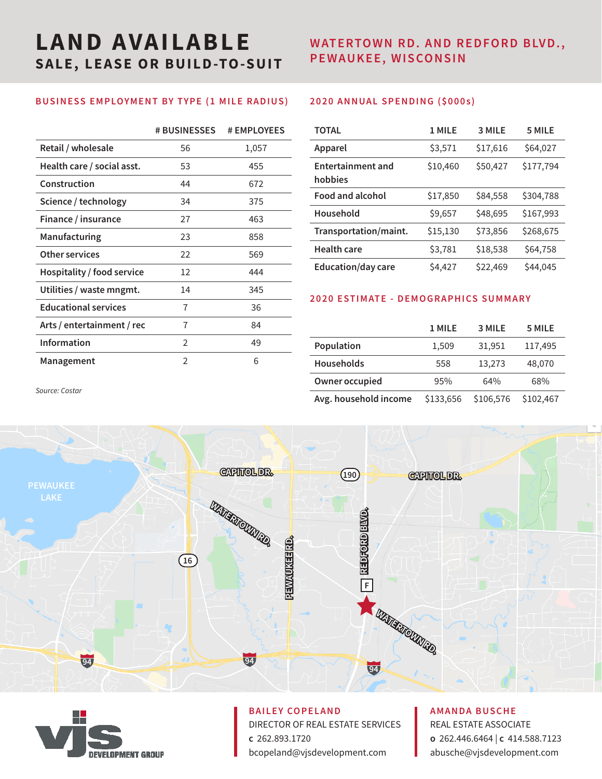# LAND AVAILABLE SALE, LEASE OR BUILD-TO-SUIT

## WATERTOWN RD. AND REDFORD BLVD., PEWAUKEE, WISCONSIN

## BUSINESS EMPLOYMENT BY TYPE (1 MILE RADIUS)

|                             | <b># BUSINESSES</b> | # EMPLOYEES |
|-----------------------------|---------------------|-------------|
| Retail / wholesale          | 56                  | 1,057       |
| Health care / social asst.  | 53                  | 455         |
| Construction                | 44                  | 672         |
| Science / technology        | 34                  | 375         |
| Finance / insurance         | 27                  | 463         |
| Manufacturing               | 23                  | 858         |
| Other services              | 22                  | 569         |
| Hospitality / food service  | 12                  | 444         |
| Utilities / waste mngmt.    | 14                  | 345         |
| <b>Educational services</b> | 7                   | 36          |
| Arts / entertainment / rec  | 7                   | 84          |
| <b>Information</b>          | 2                   | 49          |
| Management                  | $\mathfrak{D}$      | 6           |

## 2020 ANNUAL SPENDING (\$000s )

| <b>TOTAL</b>                        | 1 MILE   | 3 MILE   | 5 MILE    |
|-------------------------------------|----------|----------|-----------|
| Apparel                             | \$3,571  | \$17,616 | \$64,027  |
| <b>Entertainment and</b><br>hobbies | \$10,460 | \$50,427 | \$177,794 |
| <b>Food and alcohol</b>             | \$17,850 | \$84,558 | \$304,788 |
| Household                           | \$9,657  | \$48,695 | \$167,993 |
| Transportation/maint.               | \$15,130 | \$73,856 | \$268,675 |
| <b>Health care</b>                  | \$3,781  | \$18,538 | \$64,758  |
| <b>Education/day care</b>           | \$4,427  | \$22,469 | \$44,045  |

## 2020 ESTIMATE - DEMOGRAPHICS SUMMARY

|                       | 1 MILE    | 3 MILE    | 5 MILE    |
|-----------------------|-----------|-----------|-----------|
| Population            | 1,509     | 31,951    | 117,495   |
| <b>Households</b>     | 558       | 13,273    | 48,070    |
| Owner occupied        | 95%       | 64%       | 68%       |
| Avg. household income | \$133,656 | \$106,576 | \$102,467 |

*Source: Costar* 





# BAILEY COPELAND

DIRECTOR OF REAL ESTATE SERVICES c 262.893.1720 bcopeland@vjsdevelopment.com

## AMANDA BUSCHE

REAL ESTATE ASSOCIATE o 262.446.6464 | c 414.588.7123 abusche@vjsdevelopment.com